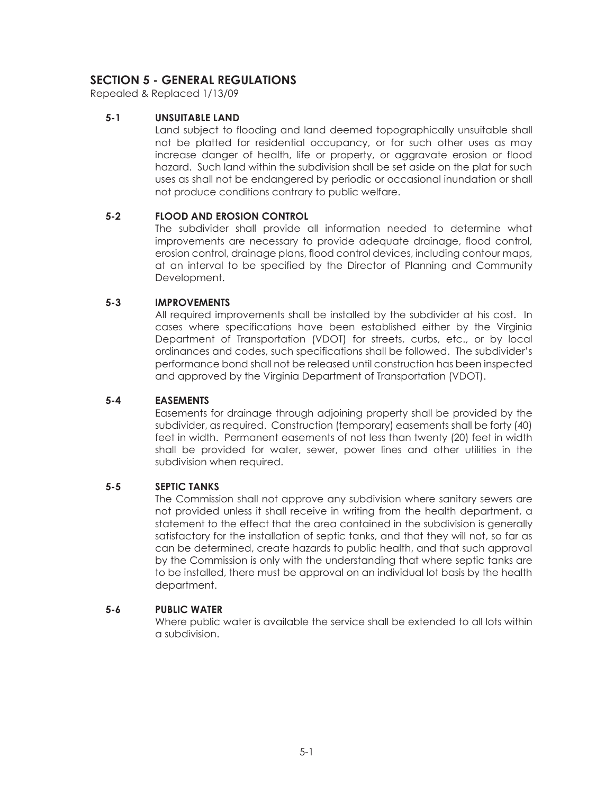# **SECTION 5 - GENERAL REGULATIONS**

Repealed & Replaced 1/13/09

### **5-1 UNSUITABLE LAND**

Land subject to flooding and land deemed topographically unsuitable shall not be platted for residential occupancy, or for such other uses as may increase danger of health, life or property, or aggravate erosion or flood hazard. Such land within the subdivision shall be set aside on the plat for such uses as shall not be endangered by periodic or occasional inundation or shall not produce conditions contrary to public welfare.

# **5-2 FLOOD AND EROSION CONTROL**

The subdivider shall provide all information needed to determine what improvements are necessary to provide adequate drainage, flood control, erosion control, drainage plans, flood control devices, including contour maps, at an interval to be specified by the Director of Planning and Community Development.

### **5-3 IMPROVEMENTS**

All required improvements shall be installed by the subdivider at his cost. In cases where specifications have been established either by the Virginia Department of Transportation (VDOT) for streets, curbs, etc., or by local ordinances and codes, such specifications shall be followed. The subdivider's performance bond shall not be released until construction has been inspected and approved by the Virginia Department of Transportation (VDOT).

### **5-4 EASEMENTS**

Easements for drainage through adjoining property shall be provided by the subdivider, as required. Construction (temporary) easements shall be forty (40) feet in width. Permanent easements of not less than twenty (20) feet in width shall be provided for water, sewer, power lines and other utilities in the subdivision when required.

### **5-5 SEPTIC TANKS**

The Commission shall not approve any subdivision where sanitary sewers are not provided unless it shall receive in writing from the health department, a statement to the effect that the area contained in the subdivision is generally satisfactory for the installation of septic tanks, and that they will not, so far as can be determined, create hazards to public health, and that such approval by the Commission is only with the understanding that where septic tanks are to be installed, there must be approval on an individual lot basis by the health department.

### **5-6 PUBLIC WATER**

Where public water is available the service shall be extended to all lots within a subdivision.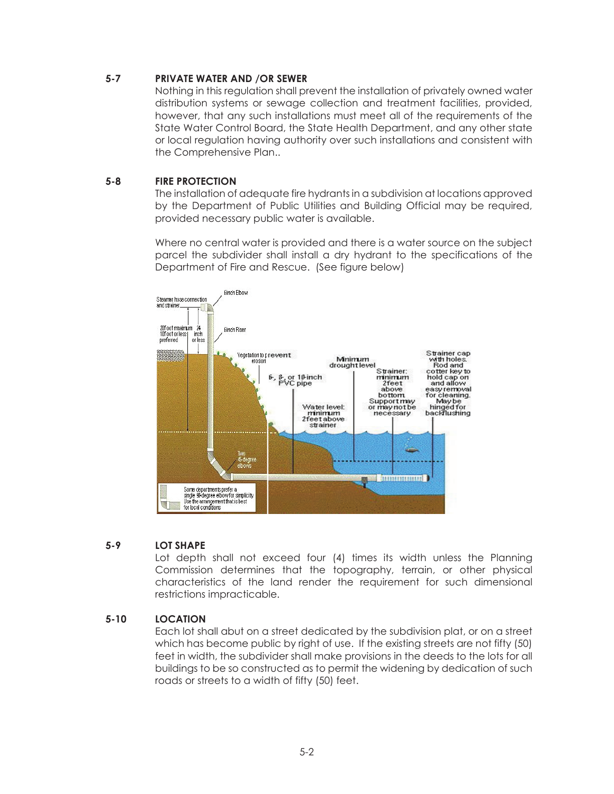# **5-7 PRIVATE WATER AND /OR SEWER**

Nothing in this regulation shall prevent the installation of privately owned water distribution systems or sewage collection and treatment facilities, provided, however, that any such installations must meet all of the requirements of the State Water Control Board, the State Health Department, and any other state or local regulation having authority over such installations and consistent with the Comprehensive Plan..

# **5-8 FIRE PROTECTION**

The installation of adequate fire hydrants in a subdivision at locations approved by the Department of Public Utilities and Building Official may be required, provided necessary public water is available.

Where no central water is provided and there is a water source on the subject parcel the subdivider shall install a dry hydrant to the specifications of the Department of Fire and Rescue. (See figure below)



# **5-9 LOT SHAPE**

Lot depth shall not exceed four (4) times its width unless the Planning Commission determines that the topography, terrain, or other physical characteristics of the land render the requirement for such dimensional restrictions impracticable.

### **5-10 LOCATION**

Each lot shall abut on a street dedicated by the subdivision plat, or on a street which has become public by right of use. If the existing streets are not fifty (50) feet in width, the subdivider shall make provisions in the deeds to the lots for all buildings to be so constructed as to permit the widening by dedication of such roads or streets to a width of fifty (50) feet.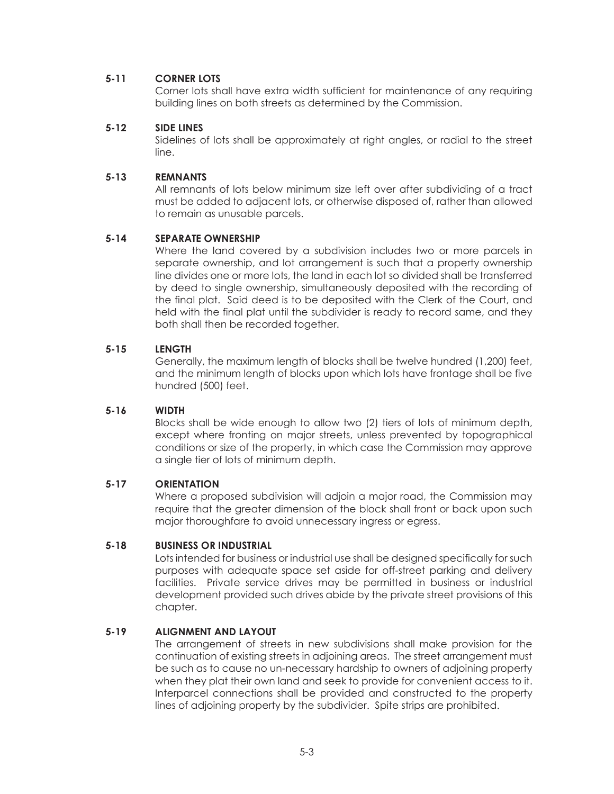# **5-11 CORNER LOTS**

Corner lots shall have extra width sufficient for maintenance of any requiring building lines on both streets as determined by the Commission.

### **5-12 SIDE LINES**

Sidelines of lots shall be approximately at right angles, or radial to the street line.

#### **5-13 REMNANTS**

All remnants of lots below minimum size left over after subdividing of a tract must be added to adjacent lots, or otherwise disposed of, rather than allowed to remain as unusable parcels.

### **5-14 SEPARATE OWNERSHIP**

Where the land covered by a subdivision includes two or more parcels in separate ownership, and lot arrangement is such that a property ownership line divides one or more lots, the land in each lot so divided shall be transferred by deed to single ownership, simultaneously deposited with the recording of the final plat. Said deed is to be deposited with the Clerk of the Court, and held with the final plat until the subdivider is ready to record same, and they both shall then be recorded together.

#### **5-15 LENGTH**

Generally, the maximum length of blocks shall be twelve hundred (1,200) feet, and the minimum length of blocks upon which lots have frontage shall be five hundred (500) feet.

### **5-16 WIDTH**

Blocks shall be wide enough to allow two (2) tiers of lots of minimum depth, except where fronting on major streets, unless prevented by topographical conditions or size of the property, in which case the Commission may approve a single tier of lots of minimum depth.

#### **5-17 ORIENTATION**

Where a proposed subdivision will adjoin a major road, the Commission may require that the greater dimension of the block shall front or back upon such major thoroughfare to avoid unnecessary ingress or egress.

#### **5-18 BUSINESS OR INDUSTRIAL**

Lots intended for business or industrial use shall be designed specifically for such purposes with adequate space set aside for off-street parking and delivery facilities. Private service drives may be permitted in business or industrial development provided such drives abide by the private street provisions of this chapter.

### **5-19 ALIGNMENT AND LAYOUT**

The arrangement of streets in new subdivisions shall make provision for the continuation of existing streets in adjoining areas. The street arrangement must be such as to cause no un-necessary hardship to owners of adjoining property when they plat their own land and seek to provide for convenient access to it. Interparcel connections shall be provided and constructed to the property lines of adjoining property by the subdivider. Spite strips are prohibited.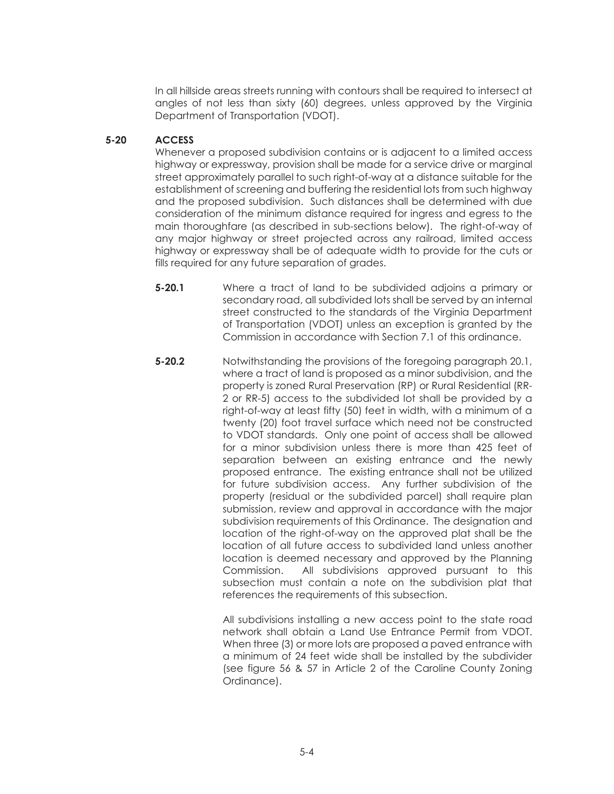In all hillside areas streets running with contours shall be required to intersect at angles of not less than sixty (60) degrees, unless approved by the Virginia Department of Transportation (VDOT).

# **5-20 ACCESS**

Whenever a proposed subdivision contains or is adjacent to a limited access highway or expressway, provision shall be made for a service drive or marginal street approximately parallel to such right-of-way at a distance suitable for the establishment of screening and buffering the residential lots from such highway and the proposed subdivision. Such distances shall be determined with due consideration of the minimum distance required for ingress and egress to the main thoroughfare (as described in sub-sections below). The right-of-way of any major highway or street projected across any railroad, limited access highway or expressway shall be of adequate width to provide for the cuts or fills required for any future separation of grades.

- **5-20.1** Where a tract of land to be subdivided adjoins a primary or secondary road, all subdivided lots shall be served by an internal street constructed to the standards of the Virginia Department of Transportation (VDOT) unless an exception is granted by the Commission in accordance with Section 7.1 of this ordinance.
- **5-20.2** Notwithstanding the provisions of the foregoing paragraph 20.1, where a tract of land is proposed as a minor subdivision, and the property is zoned Rural Preservation (RP) or Rural Residential (RR-2 or RR-5) access to the subdivided lot shall be provided by a right-of-way at least fifty (50) feet in width, with a minimum of a twenty (20) foot travel surface which need not be constructed to VDOT standards. Only one point of access shall be allowed for a minor subdivision unless there is more than 425 feet of separation between an existing entrance and the newly proposed entrance. The existing entrance shall not be utilized for future subdivision access. Any further subdivision of the property (residual or the subdivided parcel) shall require plan submission, review and approval in accordance with the major subdivision requirements of this Ordinance. The designation and location of the right-of-way on the approved plat shall be the location of all future access to subdivided land unless another location is deemed necessary and approved by the Planning Commission. All subdivisions approved pursuant to this subsection must contain a note on the subdivision plat that references the requirements of this subsection.

All subdivisions installing a new access point to the state road network shall obtain a Land Use Entrance Permit from VDOT. When three (3) or more lots are proposed a paved entrance with a minimum of 24 feet wide shall be installed by the subdivider (see figure 56 & 57 in Article 2 of the Caroline County Zoning Ordinance).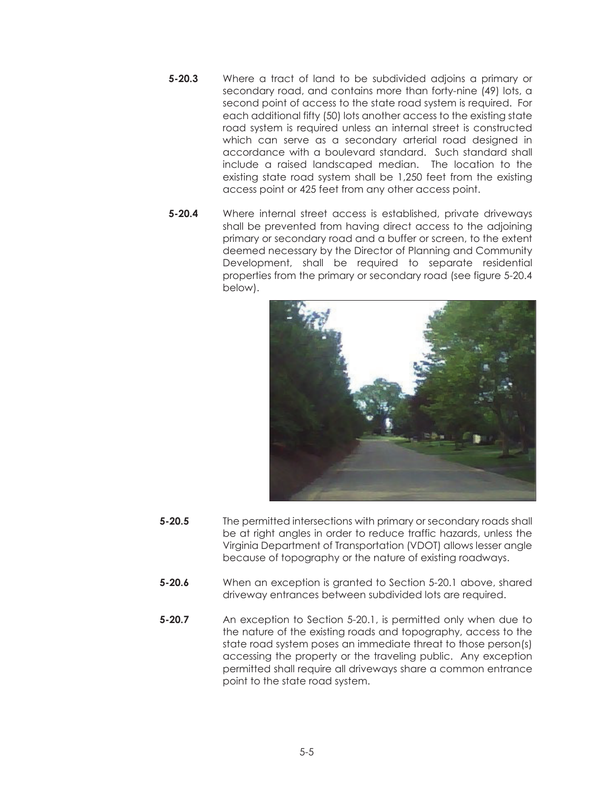- **5-20.3** Where a tract of land to be subdivided adjoins a primary or secondary road, and contains more than forty-nine (49) lots, a second point of access to the state road system is required. For each additional fifty (50) lots another access to the existing state road system is required unless an internal street is constructed which can serve as a secondary arterial road desianed in accordance with a boulevard standard. Such standard shall include a raised landscaped median. The location to the existing state road system shall be 1,250 feet from the existing access point or 425 feet from any other access point.
- **5-20.4** Where internal street access is established, private driveways shall be prevented from having direct access to the adjoining primary or secondary road and a buffer or screen, to the extent deemed necessary by the Director of Planning and Community Development, shall be required to separate residential properties from the primary or secondary road (see figure 5-20.4 below).



- **5-20.5** The permitted intersections with primary or secondary roads shall be at right angles in order to reduce traffic hazards, unless the Virginia Department of Transportation (VDOT) allows lesser angle because of topography or the nature of existing roadways.
- **5-20.6** When an exception is granted to Section 5-20.1 above, shared driveway entrances between subdivided lots are required.
- **5-20.7** An exception to Section 5-20.1, is permitted only when due to the nature of the existing roads and topography, access to the state road system poses an immediate threat to those person(s) accessing the property or the traveling public. Any exception permitted shall require all driveways share a common entrance point to the state road system.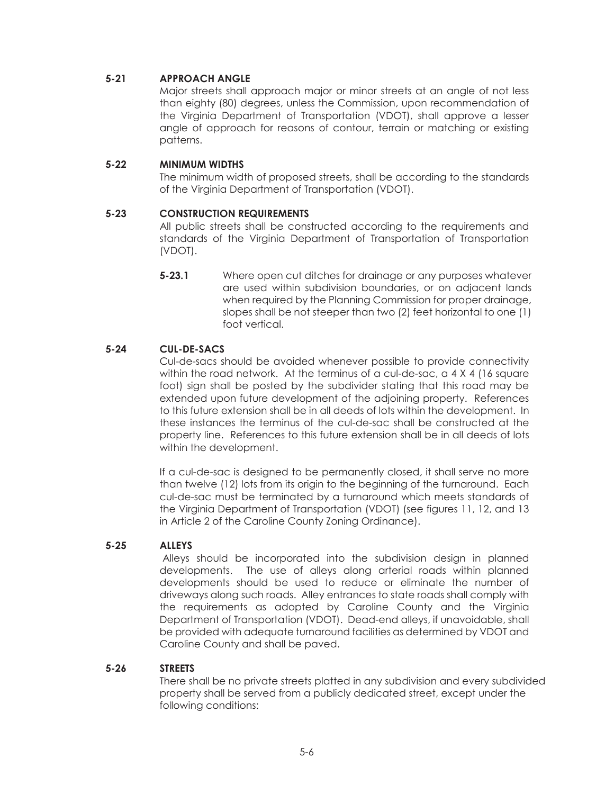# **5-21 APPROACH ANGLE**

Major streets shall approach major or minor streets at an angle of not less than eighty (80) degrees, unless the Commission, upon recommendation of the Virginia Department of Transportation (VDOT), shall approve a lesser angle of approach for reasons of contour, terrain or matching or existing patterns.

### **5-22 MINIMUM WIDTHS**

The minimum width of proposed streets, shall be according to the standards of the Virginia Department of Transportation (VDOT).

### **5-23 CONSTRUCTION REQUIREMENTS**

All public streets shall be constructed according to the requirements and standards of the Virginia Department of Transportation of Transportation (VDOT).

 **5-23.1** Where open cut ditches for drainage or any purposes whatever are used within subdivision boundaries, or on adjacent lands when required by the Planning Commission for proper drainage, slopes shall be not steeper than two (2) feet horizontal to one (1) foot vertical.

# **5-24 CUL-DE-SACS**

Cul-de-sacs should be avoided whenever possible to provide connectivity within the road network. At the terminus of a cul-de-sac,  $a \cdot 4 \times 4$  (16 square foot) sign shall be posted by the subdivider stating that this road may be extended upon future development of the adjoining property. References to this future extension shall be in all deeds of lots within the development. In these instances the terminus of the cul-de-sac shall be constructed at the property line. References to this future extension shall be in all deeds of lots within the development.

If a cul-de-sac is designed to be permanently closed, it shall serve no more than twelve (12) lots from its origin to the beginning of the turnaround. Each cul-de-sac must be terminated by a turnaround which meets standards of the Virginia Department of Transportation (VDOT) (see figures 11, 12, and 13 in Article 2 of the Caroline County Zoning Ordinance).

# **5-25 ALLEYS**

 Alleys should be incorporated into the subdivision design in planned developments. The use of alleys along arterial roads within planned developments should be used to reduce or eliminate the number of driveways along such roads. Alley entrances to state roads shall comply with the requirements as adopted by Caroline County and the Virginia Department of Transportation (VDOT). Dead-end alleys, if unavoidable, shall be provided with adequate turnaround facilities as determined by VDOT and Caroline County and shall be paved.

### **5-26 STREETS**

There shall be no private streets platted in any subdivision and every subdivided property shall be served from a publicly dedicated street, except under the following conditions: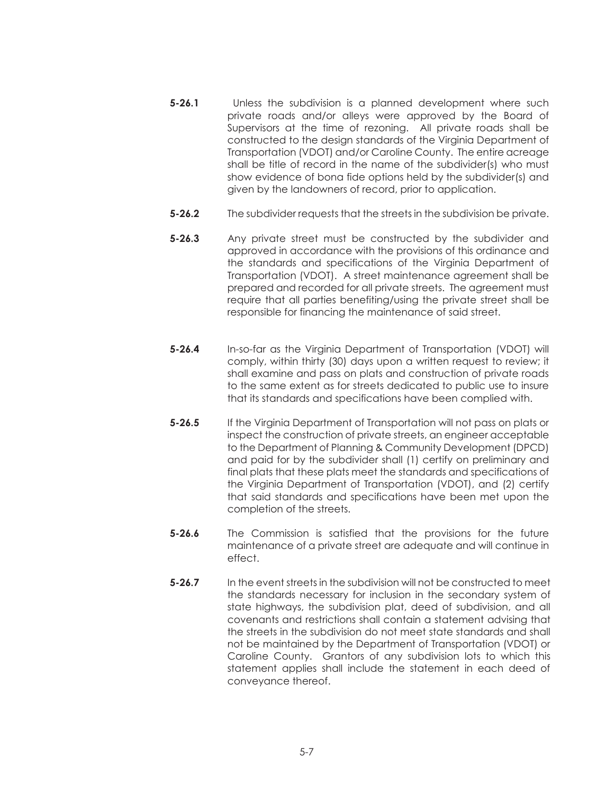- **5-26.1** Unless the subdivision is a planned development where such private roads and/or alleys were approved by the Board of Supervisors at the time of rezoning. All private roads shall be constructed to the design standards of the Virginia Department of Transportation (VDOT) and/or Caroline County. The entire acreage shall be title of record in the name of the subdivider(s) who must show evidence of bona fide options held by the subdivider(s) and given by the landowners of record, prior to application.
- **5-26.2** The subdivider requests that the streets in the subdivision be private.
- **5-26.3** Any private street must be constructed by the subdivider and approved in accordance with the provisions of this ordinance and the standards and specifications of the Virginia Department of Transportation (VDOT). A street maintenance agreement shall be prepared and recorded for all private streets. The agreement must require that all parties benefiting/using the private street shall be responsible for financing the maintenance of said street.
- **5-26.4** In-so-far as the Virginia Department of Transportation (VDOT) will comply, within thirty (30) days upon a written request to review; it shall examine and pass on plats and construction of private roads to the same extent as for streets dedicated to public use to insure that its standards and specifications have been complied with.
- **5-26.5** If the Virginia Department of Transportation will not pass on plats or inspect the construction of private streets, an engineer acceptable to the Department of Planning & Community Development (DPCD) and paid for by the subdivider shall (1) certify on preliminary and final plats that these plats meet the standards and specifications of the Virginia Department of Transportation (VDOT), and (2) certify that said standards and specifications have been met upon the completion of the streets.
- **5-26.6** The Commission is satisfied that the provisions for the future maintenance of a private street are adequate and will continue in effect.
- **5-26.7** In the event streets in the subdivision will not be constructed to meet the standards necessary for inclusion in the secondary system of state highways, the subdivision plat, deed of subdivision, and all covenants and restrictions shall contain a statement advising that the streets in the subdivision do not meet state standards and shall not be maintained by the Department of Transportation (VDOT) or Caroline County. Grantors of any subdivision lots to which this statement applies shall include the statement in each deed of conveyance thereof.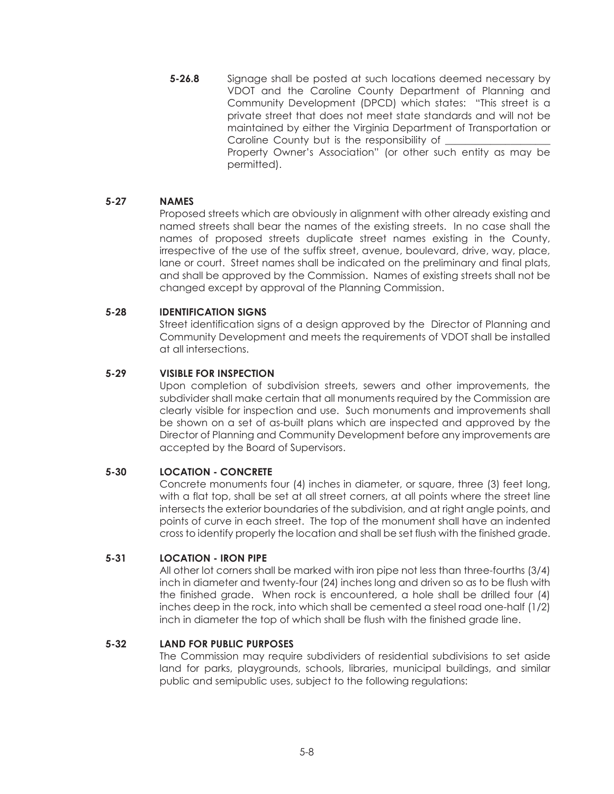**5-26.8** Signage shall be posted at such locations deemed necessary by VDOT and the Caroline County Department of Planning and Community Development (DPCD) which states: "This street is a private street that does not meet state standards and will not be maintained by either the Virginia Department of Transportation or Caroline County but is the responsibility of Property Owner's Association" (or other such entity as may be permitted).

### **5-27 NAMES**

Proposed streets which are obviously in alignment with other already existing and named streets shall bear the names of the existing streets. In no case shall the names of proposed streets duplicate street names existing in the County, irrespective of the use of the suffix street, avenue, boulevard, drive, way, place, lane or court. Street names shall be indicated on the preliminary and final plats, and shall be approved by the Commission. Names of existing streets shall not be changed except by approval of the Planning Commission.

#### **5-28 IDENTIFICATION SIGNS**

Street identification signs of a design approved by the Director of Planning and Community Development and meets the requirements of VDOT shall be installed at all intersections.

#### **5-29 VISIBLE FOR INSPECTION**

Upon completion of subdivision streets, sewers and other improvements, the subdivider shall make certain that all monuments required by the Commission are clearly visible for inspection and use. Such monuments and improvements shall be shown on a set of as-built plans which are inspected and approved by the Director of Planning and Community Development before any improvements are accepted by the Board of Supervisors.

### **5-30 LOCATION - CONCRETE**

Concrete monuments four (4) inches in diameter, or square, three (3) feet long, with a flat top, shall be set at all street corners, at all points where the street line intersects the exterior boundaries of the subdivision, and at right angle points, and points of curve in each street. The top of the monument shall have an indented cross to identify properly the location and shall be set flush with the finished grade.

#### **5-31 LOCATION - IRON PIPE**

All other lot corners shall be marked with iron pipe not less than three-fourths (3/4) inch in diameter and twenty-four (24) inches long and driven so as to be flush with the finished grade. When rock is encountered, a hole shall be drilled four (4) inches deep in the rock, into which shall be cemented a steel road one-half (1/2) inch in diameter the top of which shall be flush with the finished grade line.

#### **5-32 LAND FOR PUBLIC PURPOSES**

The Commission may require subdividers of residential subdivisions to set aside land for parks, playgrounds, schools, libraries, municipal buildings, and similar public and semipublic uses, subject to the following regulations: